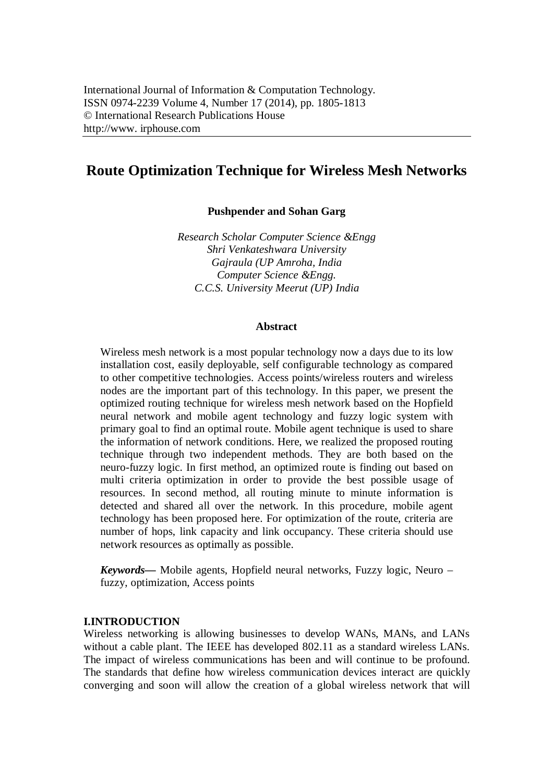# **Route Optimization Technique for Wireless Mesh Networks**

**Pushpender and Sohan Garg**

*Research Scholar Computer Science &Engg Shri Venkateshwara University Gajraula (UP Amroha, India Computer Science &Engg. C.C.S. University Meerut (UP) India*

#### **Abstract**

Wireless mesh network is a most popular technology now a days due to its low installation cost, easily deployable, self configurable technology as compared to other competitive technologies. Access points/wireless routers and wireless nodes are the important part of this technology. In this paper, we present the optimized routing technique for wireless mesh network based on the Hopfield neural network and mobile agent technology and fuzzy logic system with primary goal to find an optimal route. Mobile agent technique is used to share the information of network conditions. Here, we realized the proposed routing technique through two independent methods. They are both based on the neuro-fuzzy logic. In first method, an optimized route is finding out based on multi criteria optimization in order to provide the best possible usage of resources. In second method, all routing minute to minute information is detected and shared all over the network. In this procedure, mobile agent technology has been proposed here. For optimization of the route, criteria are number of hops, link capacity and link occupancy. These criteria should use network resources as optimally as possible.

*Keywords***—** Mobile agents, Hopfield neural networks, Fuzzy logic, Neuro – fuzzy, optimization, Access points

#### **I.INTRODUCTION**

Wireless networking is allowing businesses to develop WANs, MANs, and LANs without a cable plant. The IEEE has developed 802.11 as a standard wireless LANs. The impact of wireless communications has been and will continue to be profound. The standards that define how wireless communication devices interact are quickly converging and soon will allow the creation of a global wireless network that will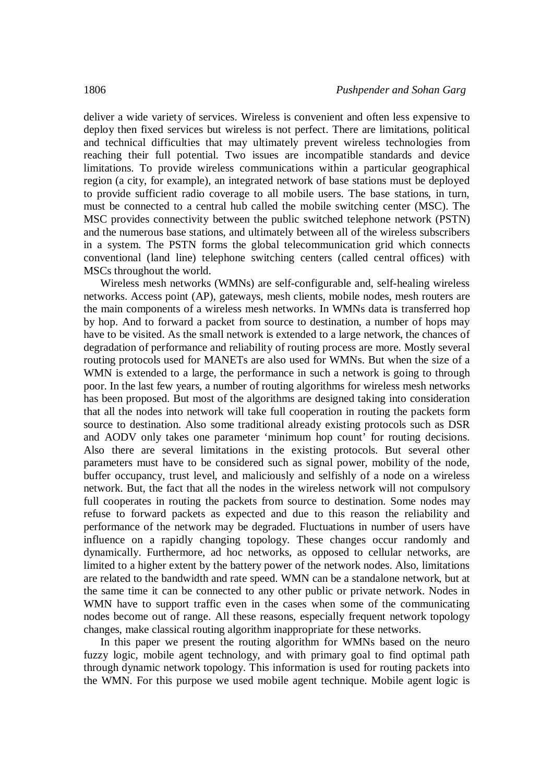deliver a wide variety of services. Wireless is convenient and often less expensive to deploy then fixed services but wireless is not perfect. There are limitations, political and technical difficulties that may ultimately prevent wireless technologies from reaching their full potential. Two issues are incompatible standards and device limitations. To provide wireless communications within a particular geographical region (a city, for example), an integrated network of base stations must be deployed to provide sufficient radio coverage to all mobile users. The base stations, in turn, must be connected to a central hub called the mobile switching center (MSC). The MSC provides connectivity between the public switched telephone network (PSTN) and the numerous base stations, and ultimately between all of the wireless subscribers in a system. The PSTN forms the global telecommunication grid which connects conventional (land line) telephone switching centers (called central offices) with MSCs throughout the world.

Wireless mesh networks (WMNs) are self-configurable and, self-healing wireless networks. Access point (AP), gateways, mesh clients, mobile nodes, mesh routers are the main components of a wireless mesh networks. In WMNs data is transferred hop by hop. And to forward a packet from source to destination, a number of hops may have to be visited. As the small network is extended to a large network, the chances of degradation of performance and reliability of routing process are more. Mostly several routing protocols used for MANETs are also used for WMNs. But when the size of a WMN is extended to a large, the performance in such a network is going to through poor. In the last few years, a number of routing algorithms for wireless mesh networks has been proposed. But most of the algorithms are designed taking into consideration that all the nodes into network will take full cooperation in routing the packets form source to destination. Also some traditional already existing protocols such as DSR and AODV only takes one parameter 'minimum hop count' for routing decisions. Also there are several limitations in the existing protocols. But several other parameters must have to be considered such as signal power, mobility of the node, buffer occupancy, trust level, and maliciously and selfishly of a node on a wireless network. But, the fact that all the nodes in the wireless network will not compulsory full cooperates in routing the packets from source to destination. Some nodes may refuse to forward packets as expected and due to this reason the reliability and performance of the network may be degraded. Fluctuations in number of users have influence on a rapidly changing topology. These changes occur randomly and dynamically. Furthermore, ad hoc networks, as opposed to cellular networks, are limited to a higher extent by the battery power of the network nodes. Also, limitations are related to the bandwidth and rate speed. WMN can be a standalone network, but at the same time it can be connected to any other public or private network. Nodes in WMN have to support traffic even in the cases when some of the communicating nodes become out of range. All these reasons, especially frequent network topology changes, make classical routing algorithm inappropriate for these networks.

In this paper we present the routing algorithm for WMNs based on the neuro fuzzy logic, mobile agent technology, and with primary goal to find optimal path through dynamic network topology. This information is used for routing packets into the WMN. For this purpose we used mobile agent technique. Mobile agent logic is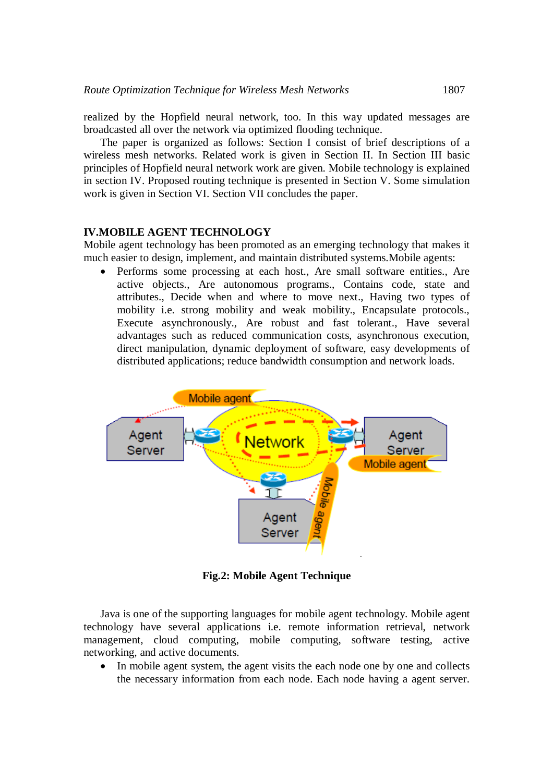realized by the Hopfield neural network, too. In this way updated messages are broadcasted all over the network via optimized flooding technique.

The paper is organized as follows: Section I consist of brief descriptions of a wireless mesh networks. Related work is given in Section II. In Section III basic principles of Hopfield neural network work are given. Mobile technology is explained in section IV. Proposed routing technique is presented in Section V. Some simulation work is given in Section VI. Section VII concludes the paper.

### **IV.MOBILE AGENT TECHNOLOGY**

Mobile agent technology has been promoted as an emerging technology that makes it much easier to design, implement, and maintain distributed systems.Mobile agents:

 Performs some processing at each host., Are small software entities., Are active objects., Are autonomous programs., Contains code, state and attributes., Decide when and where to move next., Having two types of mobility i.e. strong mobility and weak mobility., Encapsulate protocols., Execute asynchronously., Are robust and fast tolerant., Have several advantages such as reduced communication costs, asynchronous execution, direct manipulation, dynamic deployment of software, easy developments of distributed applications; reduce bandwidth consumption and network loads.



**Fig.2: Mobile Agent Technique**

Java is one of the supporting languages for mobile agent technology. Mobile agent technology have several applications i.e. remote information retrieval, network management, cloud computing, mobile computing, software testing, active networking, and active documents.

 In mobile agent system, the agent visits the each node one by one and collects the necessary information from each node. Each node having a agent server.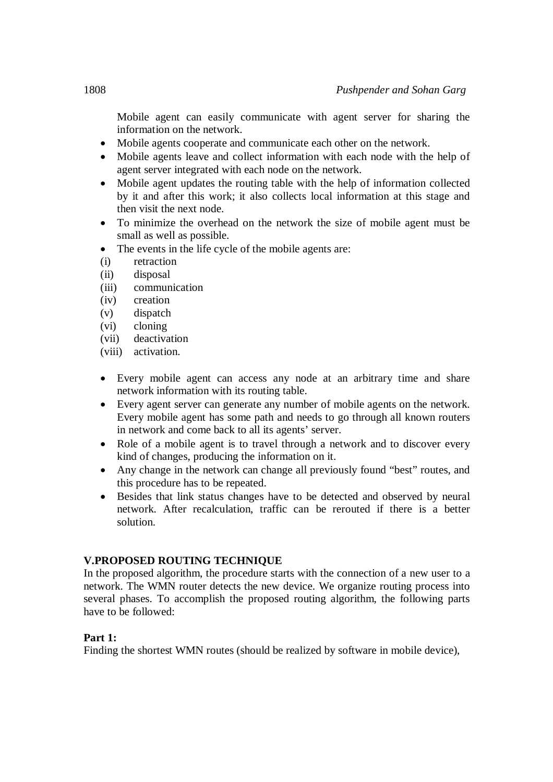Mobile agent can easily communicate with agent server for sharing the information on the network.

- Mobile agents cooperate and communicate each other on the network.
- Mobile agents leave and collect information with each node with the help of agent server integrated with each node on the network.
- Mobile agent updates the routing table with the help of information collected by it and after this work; it also collects local information at this stage and then visit the next node.
- To minimize the overhead on the network the size of mobile agent must be small as well as possible.
- The events in the life cycle of the mobile agents are:
- (i) retraction
- (ii) disposal
- (iii) communication
- (iv) creation
- (v) dispatch
- (vi) cloning
- (vii) deactivation
- (viii) activation.
- Every mobile agent can access any node at an arbitrary time and share network information with its routing table.
- Every agent server can generate any number of mobile agents on the network. Every mobile agent has some path and needs to go through all known routers in network and come back to all its agents' server.
- Role of a mobile agent is to travel through a network and to discover every kind of changes, producing the information on it.
- Any change in the network can change all previously found "best" routes, and this procedure has to be repeated.
- Besides that link status changes have to be detected and observed by neural network. After recalculation, traffic can be rerouted if there is a better solution.

# **V.PROPOSED ROUTING TECHNIQUE**

In the proposed algorithm, the procedure starts with the connection of a new user to a network. The WMN router detects the new device. We organize routing process into several phases. To accomplish the proposed routing algorithm, the following parts have to be followed:

# **Part 1:**

Finding the shortest WMN routes (should be realized by software in mobile device),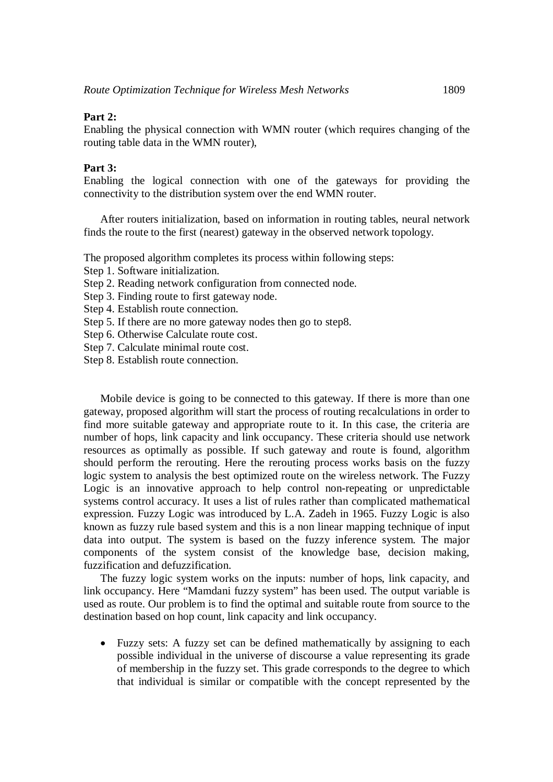## **Part 2:**

Enabling the physical connection with WMN router (which requires changing of the routing table data in the WMN router),

## **Part 3:**

Enabling the logical connection with one of the gateways for providing the connectivity to the distribution system over the end WMN router.

After routers initialization, based on information in routing tables, neural network finds the route to the first (nearest) gateway in the observed network topology.

The proposed algorithm completes its process within following steps:

Step 1. Software initialization.

- Step 2. Reading network configuration from connected node.
- Step 3. Finding route to first gateway node.
- Step 4. Establish route connection.
- Step 5. If there are no more gateway nodes then go to step8.
- Step 6. Otherwise Calculate route cost.
- Step 7. Calculate minimal route cost.

Step 8. Establish route connection.

Mobile device is going to be connected to this gateway. If there is more than one gateway, proposed algorithm will start the process of routing recalculations in order to find more suitable gateway and appropriate route to it. In this case, the criteria are number of hops, link capacity and link occupancy. These criteria should use network resources as optimally as possible. If such gateway and route is found, algorithm should perform the rerouting. Here the rerouting process works basis on the fuzzy logic system to analysis the best optimized route on the wireless network. The Fuzzy Logic is an innovative approach to help control non-repeating or unpredictable systems control accuracy. It uses a list of rules rather than complicated mathematical expression. Fuzzy Logic was introduced by L.A. Zadeh in 1965. Fuzzy Logic is also known as fuzzy rule based system and this is a non linear mapping technique of input data into output. The system is based on the fuzzy inference system. The major components of the system consist of the knowledge base, decision making, fuzzification and defuzzification.

The fuzzy logic system works on the inputs: number of hops, link capacity, and link occupancy. Here "Mamdani fuzzy system" has been used. The output variable is used as route. Our problem is to find the optimal and suitable route from source to the destination based on hop count, link capacity and link occupancy.

 Fuzzy sets: A fuzzy set can be defined mathematically by assigning to each possible individual in the universe of discourse a value representing its grade of membership in the fuzzy set. This grade corresponds to the degree to which that individual is similar or compatible with the concept represented by the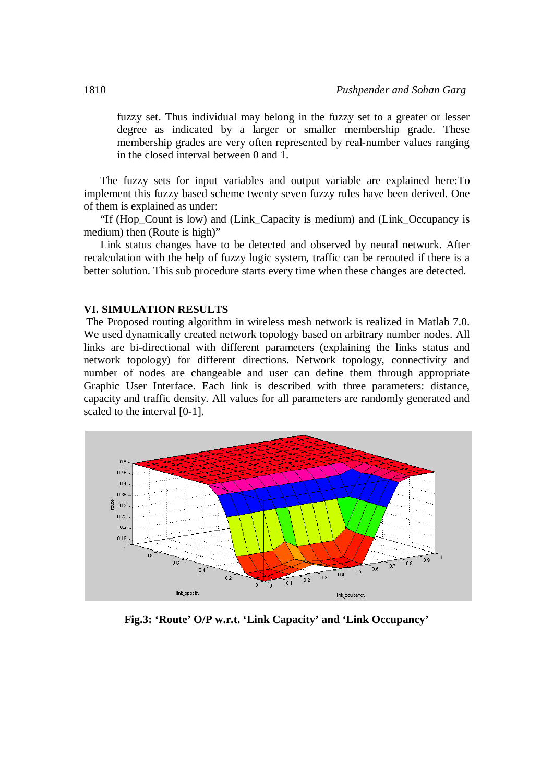fuzzy set. Thus individual may belong in the fuzzy set to a greater or lesser degree as indicated by a larger or smaller membership grade. These membership grades are very often represented by real-number values ranging in the closed interval between 0 and 1.

The fuzzy sets for input variables and output variable are explained here:To implement this fuzzy based scheme twenty seven fuzzy rules have been derived. One of them is explained as under:

"If (Hop\_Count is low) and (Link\_Capacity is medium) and (Link\_Occupancy is medium) then (Route is high)"

Link status changes have to be detected and observed by neural network. After recalculation with the help of fuzzy logic system, traffic can be rerouted if there is a better solution. This sub procedure starts every time when these changes are detected.

#### **VI. SIMULATION RESULTS**

The Proposed routing algorithm in wireless mesh network is realized in Matlab 7.0. We used dynamically created network topology based on arbitrary number nodes. All links are bi-directional with different parameters (explaining the links status and network topology) for different directions. Network topology, connectivity and number of nodes are changeable and user can define them through appropriate Graphic User Interface. Each link is described with three parameters: distance, capacity and traffic density. All values for all parameters are randomly generated and scaled to the interval [0-1].



**Fig.3: 'Route' O/P w.r.t. 'Link Capacity' and 'Link Occupancy'**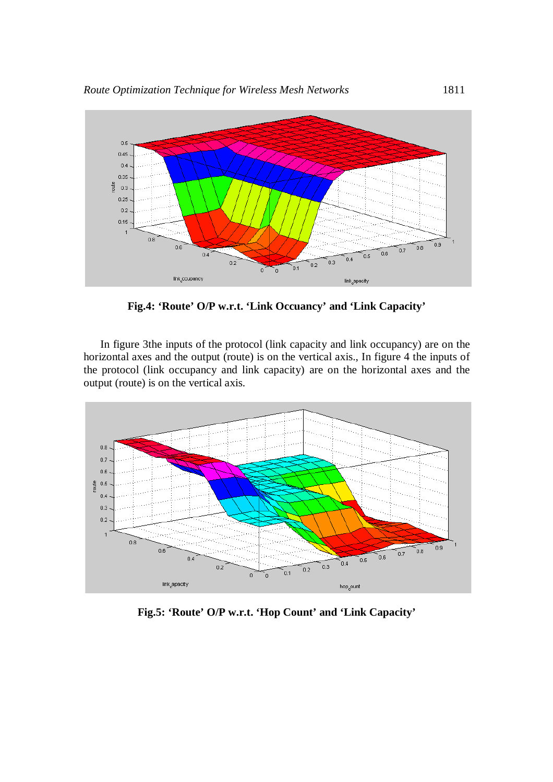

**Fig.4: 'Route' O/P w.r.t. 'Link Occuancy' and 'Link Capacity'**

In figure 3the inputs of the protocol (link capacity and link occupancy) are on the horizontal axes and the output (route) is on the vertical axis., In figure 4 the inputs of the protocol (link occupancy and link capacity) are on the horizontal axes and the output (route) is on the vertical axis.



**Fig.5: 'Route' O/P w.r.t. 'Hop Count' and 'Link Capacity'**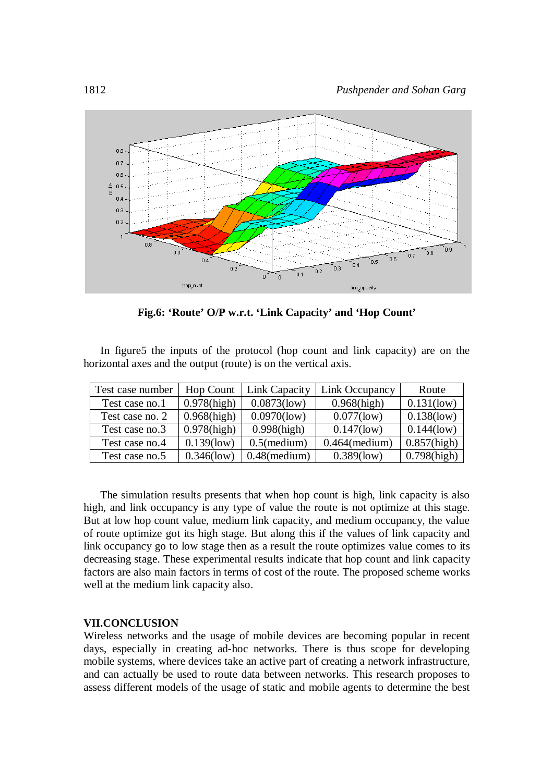

**Fig.6: 'Route' O/P w.r.t. 'Link Capacity' and 'Hop Count'**

In figure5 the inputs of the protocol (hop count and link capacity) are on the horizontal axes and the output (route) is on the vertical axis.

| Test case number | <b>Hop Count</b> | Link Capacity   | Link Occupancy   | Route          |
|------------------|------------------|-----------------|------------------|----------------|
| Test case no.1   | $0.978$ (high)   | $0.0873$ (low)  | $0.968$ (high)   | $0.131$ (low)  |
| Test case no. 2  | $0.968$ (high)   | $0.0970$ (low)  | $0.077$ (low)    | $0.138$ (low)  |
| Test case no.3   | $0.978$ (high)   | $0.998$ (high)  | $0.147$ (low)    | $0.144$ (low)  |
| Test case no.4   | $0.139$ (low)    | $0.5$ (medium)  | $0.464$ (medium) | $0.857$ (high) |
| Test case no.5   | $0.346$ (low)    | $0.48$ (medium) | $0.389$ (low)    | $0.798$ (high) |

The simulation results presents that when hop count is high, link capacity is also high, and link occupancy is any type of value the route is not optimize at this stage. But at low hop count value, medium link capacity, and medium occupancy, the value of route optimize got its high stage. But along this if the values of link capacity and link occupancy go to low stage then as a result the route optimizes value comes to its decreasing stage. These experimental results indicate that hop count and link capacity factors are also main factors in terms of cost of the route. The proposed scheme works well at the medium link capacity also.

#### **VII.CONCLUSION**

Wireless networks and the usage of mobile devices are becoming popular in recent days, especially in creating ad-hoc networks. There is thus scope for developing mobile systems, where devices take an active part of creating a network infrastructure, and can actually be used to route data between networks. This research proposes to assess different models of the usage of static and mobile agents to determine the best